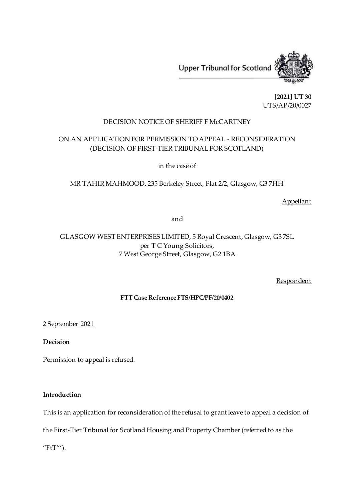

**[2021] UT 30** UTS/AP/20/0027

## DECISION NOTICE OF SHERIFF F McCARTNEY

# ON AN APPLICATION FOR PERMISSION TO APPEAL - RECONSIDERATION (DECISION OF FIRST-TIER TRIBUNAL FOR SCOTLAND)

in the case of

MR TAHIR MAHMOOD, 235 Berkeley Street, Flat 2/2, Glasgow, G3 7HH

Appellant

and

# GLASGOW WEST ENTERPRISES LIMITED, 5 Royal Crescent, Glasgow, G3 7SL per T C Young Solicitors, 7 West George Street, Glasgow, G2 1BA

Respondent

#### **FTT Case Reference FTS/HPC/PF/20/0402**

2 September 2021

**Decision**

Permission to appeal is refused.

### **Introduction**

This is an application for reconsideration of the refusal to grant leave to appeal a decision of

the First-Tier Tribunal for Scotland Housing and Property Chamber (referred to as the

"FtT"').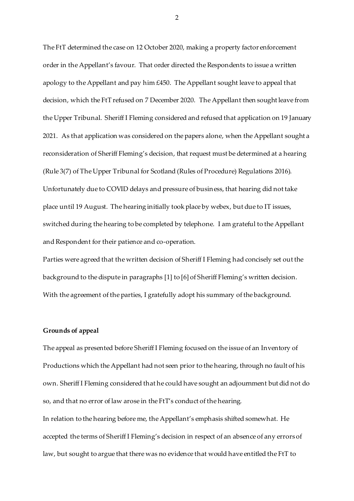The FtT determined the case on 12 October 2020, making a property factor enforcement order in the Appellant's favour. That order directed the Respondents to issue a written apology to the Appellant and pay him £450. The Appellant sought leave to appeal that decision, which the FtT refused on 7 December 2020. The Appellant then sought leave from the Upper Tribunal. Sheriff I Fleming considered and refused that application on 19 January 2021. As that application was considered on the papers alone, when the Appellant sought a reconsideration of Sheriff Fleming's decision, that request must be determined at a hearing (Rule 3(7) of The Upper Tribunal for Scotland (Rules of Procedure) Regulations 2016). Unfortunately due to COVID delays and pressure of business, that hearing did not take place until 19 August. The hearing initially took place by webex, but due to IT issues, switched during the hearing to be completed by telephone. I am grateful to the Appellant and Respondent for their patience and co-operation.

Parties were agreed that the written decision of Sheriff I Fleming had concisely set out the background to the dispute in paragraphs [1] to [6] of Sheriff Fleming's written decision. With the agreement of the parties, I gratefully adopt his summary of the background.

#### **Grounds of appeal**

The appeal as presented before Sheriff I Fleming focused on the issue of an Inventory of Productions which the Appellant had not seen prior to the hearing, through no fault of his own. Sheriff I Fleming considered that he could have sought an adjournment but did not do so, and that no error of law arose in the FtT's conduct of the hearing. In relation to the hearing before me, the Appellant's emphasis shifted somewhat. He accepted the terms of Sheriff I Fleming's decision in respect of an absence of any errors of law, but sought to argue that there was no evidence that would have entitled the FtT to

2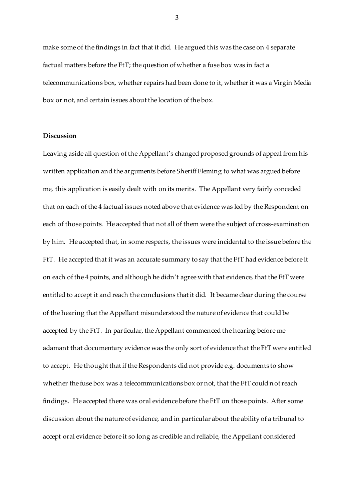make some of the findings in fact that it did. He argued this was the case on 4 separate factual matters before the FtT; the question of whether a fuse box was in fact a telecommunications box, whether repairs had been done to it, whether it was a Virgin Media box or not, and certain issues about the location of the box.

#### **Discussion**

Leaving aside all question of the Appellant's changed proposed grounds of appeal from his written application and the arguments before Sheriff Fleming to what was argued before me, this application is easily dealt with on its merits. The Appellant very fairly conceded that on each of the 4 factual issues noted above that evidence was led by the Respondent on each of those points. He accepted that not all of them were the subject of cross-examination by him. He accepted that, in some respects, the issues were incidental to the issue before the FtT. He accepted that it was an accurate summary to say that the FtT had evidence before it on each of the 4 points, and although he didn't agree with that evidence, that the FtT were entitled to accept it and reach the conclusions that it did. It became clear during the course of the hearing that the Appellant misunderstood the nature of evidence that could be accepted by the FtT. In particular, the Appellant commenced the hearing before me adamant that documentary evidence was the only sort of evidence that the FtT were entitled to accept. He thought that if the Respondents did not provide e.g. documents to show whether the fuse box was a telecommunications box or not, that the FtT could not reach findings. He accepted there was oral evidence before the FtT on those points. After some discussion about the nature of evidence, and in particular about the ability of a tribunal to accept oral evidence before it so long as credible and reliable, the Appellant considered